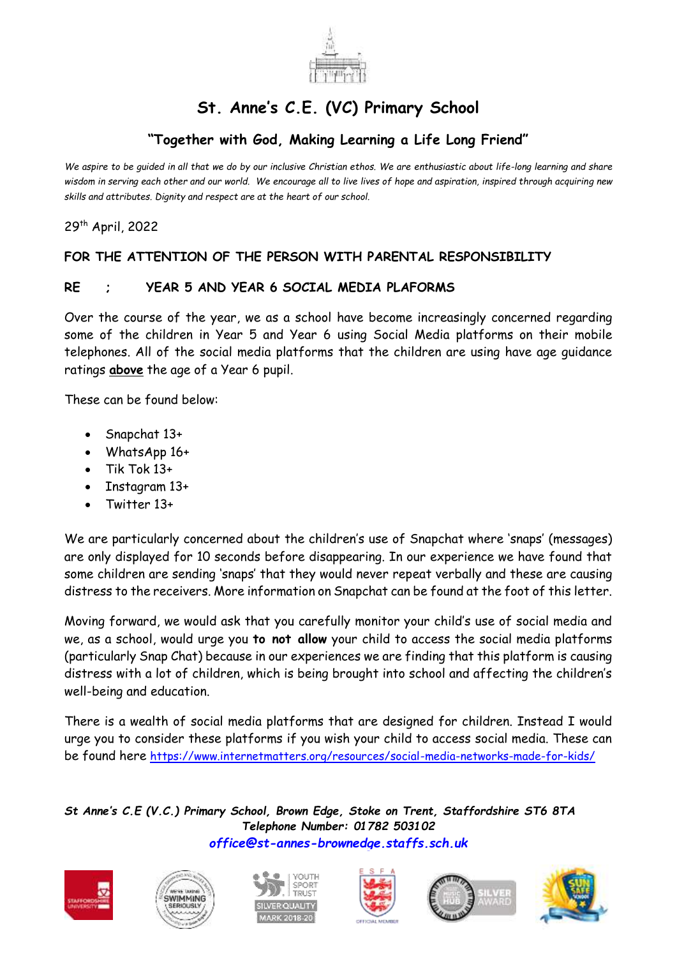

## **St. Anne's C.E. (VC) Primary School**

## **"Together with God, Making Learning a Life Long Friend"**

*We aspire to be guided in all that we do by our inclusive Christian ethos. We are enthusiastic about life-long learning and share wisdom in serving each other and our world. We encourage all to live lives of hope and aspiration, inspired through acquiring new skills and attributes. Dignity and respect are at the heart of our school.*

29 th April, 2022

## **FOR THE ATTENTION OF THE PERSON WITH PARENTAL RESPONSIBILITY**

## **RE ; YEAR 5 AND YEAR 6 SOCIAL MEDIA PLAFORMS**

Over the course of the year, we as a school have become increasingly concerned regarding some of the children in Year 5 and Year 6 using Social Media platforms on their mobile telephones. All of the social media platforms that the children are using have age guidance ratings **above** the age of a Year 6 pupil.

These can be found below:

- Snapchat 13+
- WhatsApp 16+
- Tik Tok 13+
- Instagram 13+
- Twitter 13+

We are particularly concerned about the children's use of Snapchat where 'snaps' (messages) are only displayed for 10 seconds before disappearing. In our experience we have found that some children are sending 'snaps' that they would never repeat verbally and these are causing distress to the receivers. More information on Snapchat can be found at the foot of this letter.

Moving forward, we would ask that you carefully monitor your child's use of social media and we, as a school, would urge you **to not allow** your child to access the social media platforms (particularly Snap Chat) because in our experiences we are finding that this platform is causing distress with a lot of children, which is being brought into school and affecting the children's well-being and education.

There is a wealth of social media platforms that are designed for children. Instead I would urge you to consider these platforms if you wish your child to access social media. These can be found here <https://www.internetmatters.org/resources/social-media-networks-made-for-kids/>

*St Anne's C.E (V.C.) Primary School, Brown Edge, Stoke on Trent, Staffordshire ST6 8TA Telephone Number: 01782 503102 [office@st-annes-brownedge.staffs.sch.uk](mailto:office@st-annes-brownedge.staffs.sch.uk)*











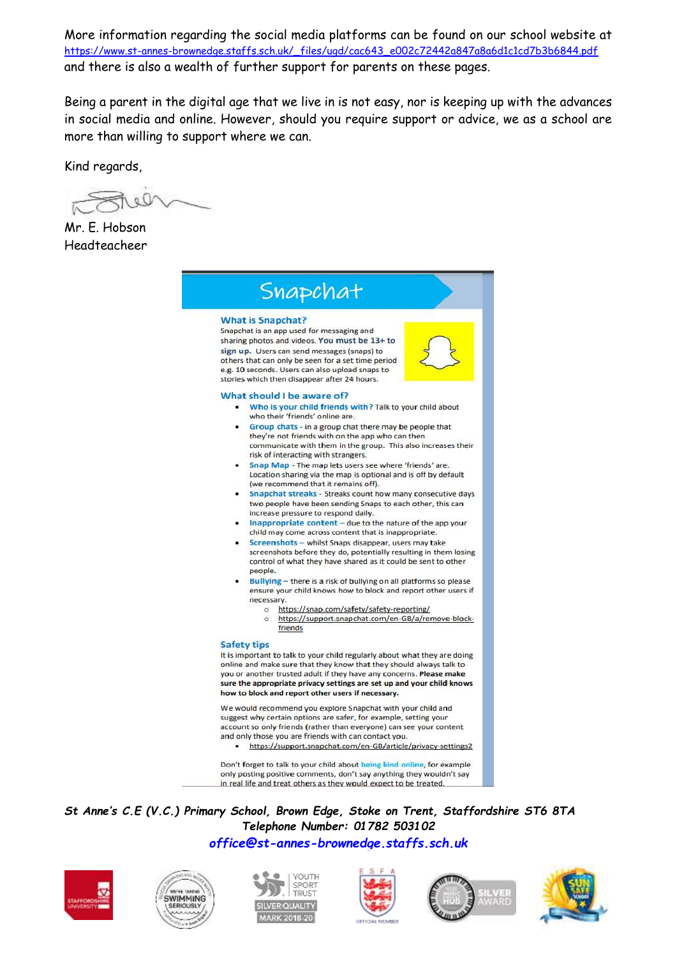More information regarding the social media platforms can be found on our school website at [https://www.st-annes-brownedge.staffs.sch.uk/\\_files/ugd/cac643\\_e002c72442a847a8a6d1c1cd7b3b6844.pdf](https://www.st-annes-brownedge.staffs.sch.uk/_files/ugd/cac643_e002c72442a847a8a6d1c1cd7b3b6844.pdf) and there is also a wealth of further support for parents on these pages.

Being a parent in the digital age that we live in is not easy, nor is keeping up with the advances in social media and online. However, should you require support or advice, we as a school are more than willing to support where we can.

Kind regards,

Mr. E. Hobson Headteacheer



*St Anne's C.E (V.C.) Primary School, Brown Edge, Stoke on Trent, Staffordshire ST6 8TA Telephone Number: 01782 503102 [office@st-annes-brownedge.staffs.sch.uk](mailto:office@st-annes-brownedge.staffs.sch.uk)*